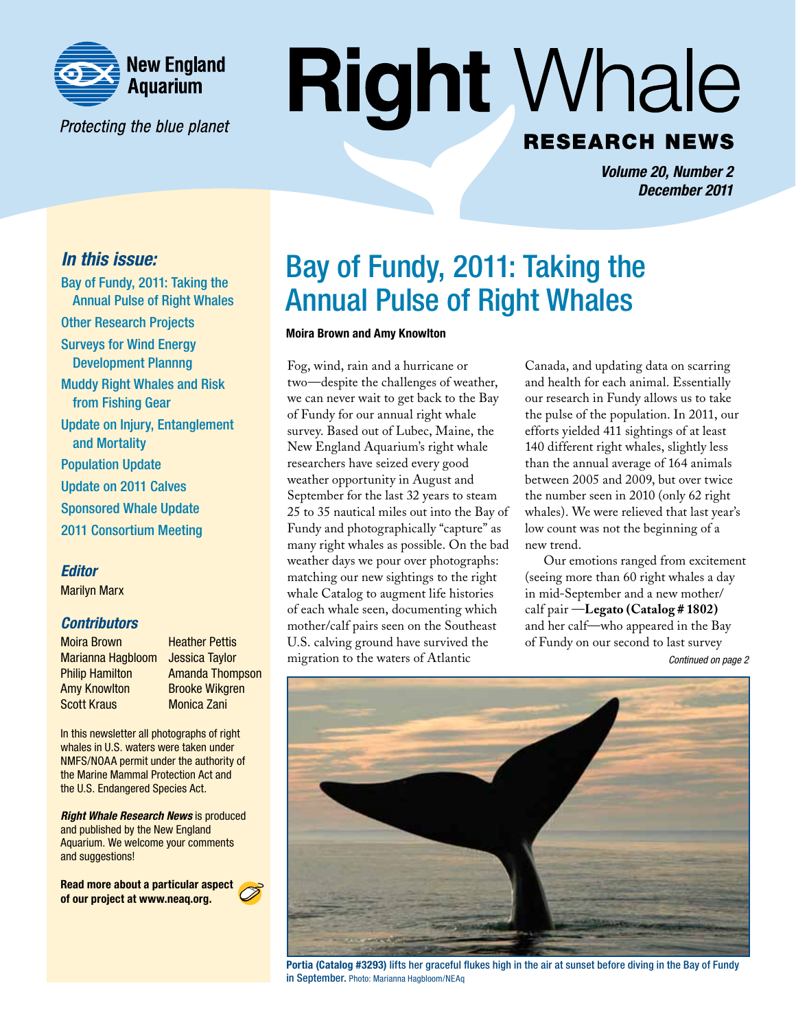

Protecting the blue planet

# **Right Whale RESEARCH NEWS**

*Volume 20, Number 2 December 2011*

### *In this issue:*

Bay of Fundy, 2011: Taking the Annual Pulse of Right Whales Other Research Projects Surveys for Wind Energy Development Plannng Muddy Right Whales and Risk from Fishing Gear Update on Injury, Entanglement and Mortality Population Update Update on 2011 Calves Sponsored Whale Update 2011 Consortium Meeting

### *Editor*

Marilyn Marx

### *Contributors*

Moira Brown Marianna Hagbloom Philip Hamilton Amy Knowlton Scott Kraus

Heather Pettis Jessica Taylor Amanda Thompson Brooke Wikgren Monica Zani

In this newsletter all photographs of right whales in U.S. waters were taken under NMFS/NOAA permit under the authority of the Marine Mammal Protection Act and the U.S. Endangered Species Act.

*Right Whale Research News* is produced and published by the New England Aquarium. We welcome your comments and suggestions!

Read more about a particular aspect of our project at www.neaq.org.

# Bay of Fundy, 2011: Taking the Annual Pulse of Right Whales

#### Moira Brown and Amy Knowlton

Fog, wind, rain and a hurricane or two—despite the challenges of weather, we can never wait to get back to the Bay of Fundy for our annual right whale survey. Based out of Lubec, Maine, the New England Aquarium's right whale researchers have seized every good weather opportunity in August and September for the last 32 years to steam 25 to 35 nautical miles out into the Bay of Fundy and photographically "capture" as many right whales as possible. On the bad weather days we pour over photographs: matching our new sightings to the right whale Catalog to augment life histories of each whale seen, documenting which mother/calf pairs seen on the Southeast U.S. calving ground have survived the migration to the waters of Atlantic

Canada, and updating data on scarring and health for each animal. Essentially our research in Fundy allows us to take the pulse of the population. In 2011, our efforts yielded 411 sightings of at least 140 different right whales, slightly less than the annual average of 164 animals between 2005 and 2009, but over twice the number seen in 2010 (only 62 right whales). We were relieved that last year's low count was not the beginning of a new trend.

*Continued on page 2* Our emotions ranged from excitement (seeing more than 60 right whales a day in mid-September and a new mother/ calf pair —**Legato (Catalog # 1802)**  and her calf—who appeared in the Bay of Fundy on our second to last survey



Portia (Catalog #3293) lifts her graceful flukes high in the air at sunset before diving in the Bay of Fundy in September. Photo: Marianna Hagbloom/NEAq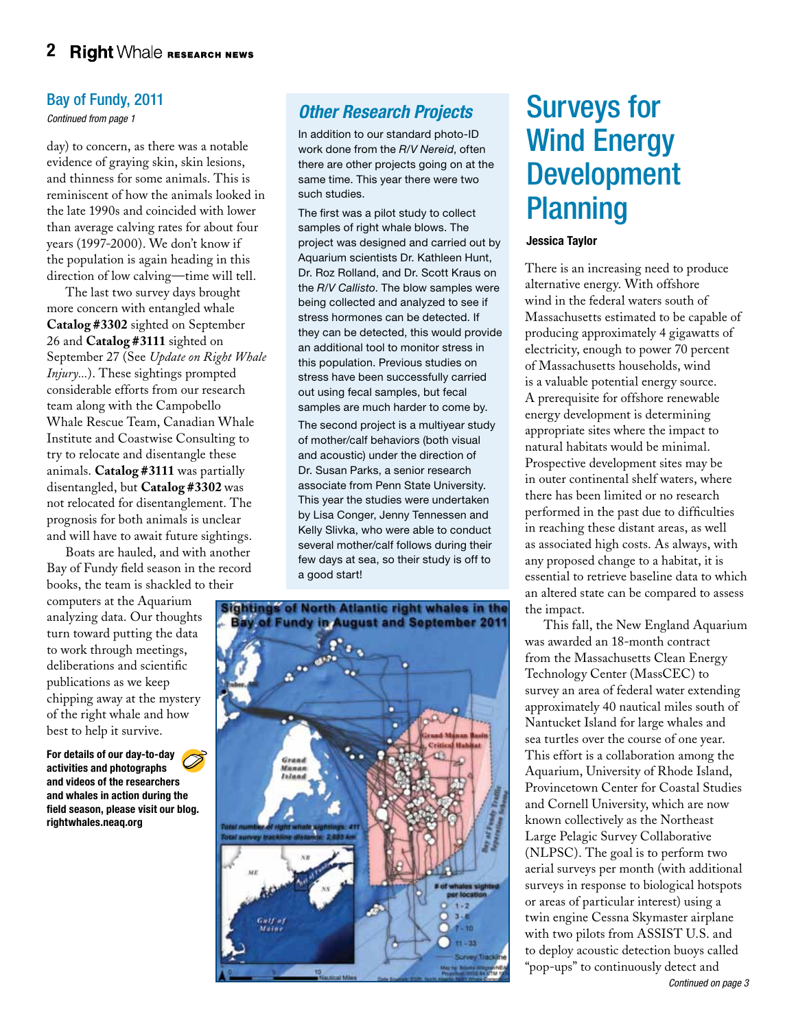### Bay of Fundy, 2011

*Continued from page 1*

day) to concern, as there was a notable evidence of graying skin, skin lesions, and thinness for some animals. This is reminiscent of how the animals looked in the late 1990s and coincided with lower than average calving rates for about four years (1997-2000). We don't know if the population is again heading in this direction of low calving—time will tell.

The last two survey days brought more concern with entangled whale **Catalog #3302** sighted on September 26 and **Catalog #3111** sighted on September 27 (See *Update on Right Whale Injury...*). These sightings prompted considerable efforts from our research team along with the Campobello Whale Rescue Team, Canadian Whale Institute and Coastwise Consulting to try to relocate and disentangle these animals. **Catalog #3111** was partially disentangled, but **Catalog #3302** was not relocated for disentanglement. The prognosis for both animals is unclear and will have to await future sightings.

Boats are hauled, and with another Bay of Fundy field season in the record books, the team is shackled to their

computers at the Aquarium analyzing data. Our thoughts turn toward putting the data to work through meetings, deliberations and scientific publications as we keep chipping away at the mystery of the right whale and how best to help it survive.

For details of our day-to-day activities and photographs and videos of the researchers and whales in action during the field season, please visit our blog. rightwhales.neaq.org

# *Other Research Projects*

In addition to our standard photo-ID work done from the *R/V Nereid*, often there are other projects going on at the same time. This year there were two such studies.

The first was a pilot study to collect samples of right whale blows. The project was designed and carried out by Aquarium scientists Dr. Kathleen Hunt, Dr. Roz Rolland, and Dr. Scott Kraus on the *R/V Callisto*. The blow samples were being collected and analyzed to see if stress hormones can be detected. If they can be detected, this would provide an additional tool to monitor stress in this population. Previous studies on stress have been successfully carried out using fecal samples, but fecal samples are much harder to come by.

The second project is a multiyear study of mother/calf behaviors (both visual and acoustic) under the direction of Dr. Susan Parks, a senior research associate from Penn State University. This year the studies were undertaken by Lisa Conger, Jenny Tennessen and Kelly Slivka, who were able to conduct several mother/calf follows during their few days at sea, so their study is off to a good start!



# Surveys for Wind Energy Development **Planning**

#### Jessica Taylor

There is an increasing need to produce alternative energy. With offshore wind in the federal waters south of Massachusetts estimated to be capable of producing approximately 4 gigawatts of electricity, enough to power 70 percent of Massachusetts households, wind is a valuable potential energy source. A prerequisite for offshore renewable energy development is determining appropriate sites where the impact to natural habitats would be minimal. Prospective development sites may be in outer continental shelf waters, where there has been limited or no research performed in the past due to difficulties in reaching these distant areas, as well as associated high costs. As always, with any proposed change to a habitat, it is essential to retrieve baseline data to which an altered state can be compared to assess the impact.

This fall, the New England Aquarium was awarded an 18-month contract from the Massachusetts Clean Energy Technology Center (MassCEC) to survey an area of federal water extending approximately 40 nautical miles south of Nantucket Island for large whales and sea turtles over the course of one year. This effort is a collaboration among the Aquarium, University of Rhode Island, Provincetown Center for Coastal Studies and Cornell University, which are now known collectively as the Northeast Large Pelagic Survey Collaborative (NLPSC). The goal is to perform two aerial surveys per month (with additional surveys in response to biological hotspots or areas of particular interest) using a twin engine Cessna Skymaster airplane with two pilots from ASSIST U.S. and to deploy acoustic detection buoys called "pop-ups" to continuously detect and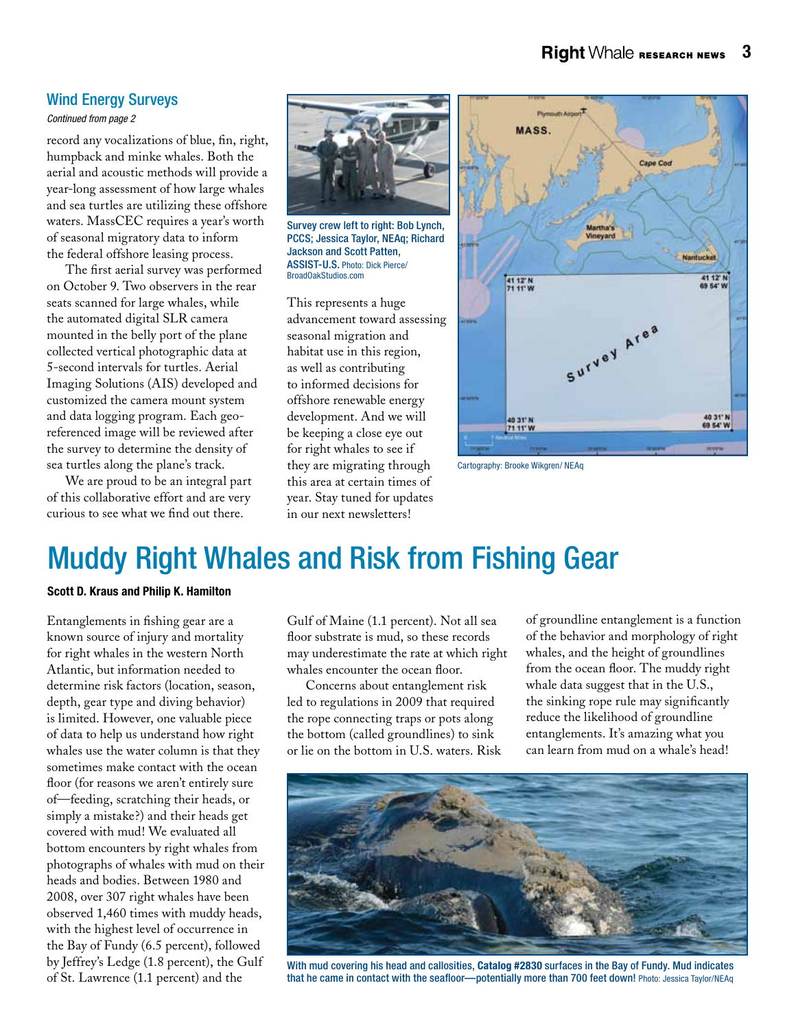### Wind Energy Surveys

*Continued from page 2*

record any vocalizations of blue, fin, right, humpback and minke whales. Both the aerial and acoustic methods will provide a year-long assessment of how large whales and sea turtles are utilizing these offshore waters. MassCEC requires a year's worth of seasonal migratory data to inform the federal offshore leasing process.

The first aerial survey was performed on October 9. Two observers in the rear seats scanned for large whales, while the automated digital SLR camera mounted in the belly port of the plane collected vertical photographic data at 5-second intervals for turtles. Aerial Imaging Solutions (AIS) developed and customized the camera mount system and data logging program. Each georeferenced image will be reviewed after the survey to determine the density of sea turtles along the plane's track.

We are proud to be an integral part of this collaborative effort and are very curious to see what we find out there.



Survey crew left to right: Bob Lynch, PCCS; Jessica Taylor, NEAq; Richard Jackson and Scott Patten, ASSIST-U.S. Photo: Dick Pierce/ BroadOakStudios.com

This represents a huge advancement toward assessing seasonal migration and habitat use in this region, as well as contributing to informed decisions for offshore renewable energy development. And we will be keeping a close eye out for right whales to see if they are migrating through this area at certain times of year. Stay tuned for updates in our next newsletters!



Cartography: Brooke Wikgren/ NEAq

# Muddy Right Whales and Risk from Fishing Gear

#### Scott D. Kraus and Philip K. Hamilton

Entanglements in fishing gear are a known source of injury and mortality for right whales in the western North Atlantic, but information needed to determine risk factors (location, season, depth, gear type and diving behavior) is limited. However, one valuable piece of data to help us understand how right whales use the water column is that they sometimes make contact with the ocean floor (for reasons we aren't entirely sure of—feeding, scratching their heads, or simply a mistake?) and their heads get covered with mud! We evaluated all bottom encounters by right whales from photographs of whales with mud on their heads and bodies. Between 1980 and 2008, over 307 right whales have been observed 1,460 times with muddy heads, with the highest level of occurrence in the Bay of Fundy (6.5 percent), followed by Jeffrey's Ledge (1.8 percent), the Gulf of St. Lawrence (1.1 percent) and the

Gulf of Maine (1.1 percent). Not all sea floor substrate is mud, so these records may underestimate the rate at which right whales encounter the ocean floor.

Concerns about entanglement risk led to regulations in 2009 that required the rope connecting traps or pots along the bottom (called groundlines) to sink or lie on the bottom in U.S. waters. Risk of groundline entanglement is a function of the behavior and morphology of right whales, and the height of groundlines from the ocean floor. The muddy right whale data suggest that in the U.S., the sinking rope rule may significantly reduce the likelihood of groundline entanglements. It's amazing what you can learn from mud on a whale's head!



With mud covering his head and callosities, Catalog #2830 surfaces in the Bay of Fundy. Mud indicates that he came in contact with the seafloor—potentially more than 700 feet down! Photo: Jessica Taylor/NEAq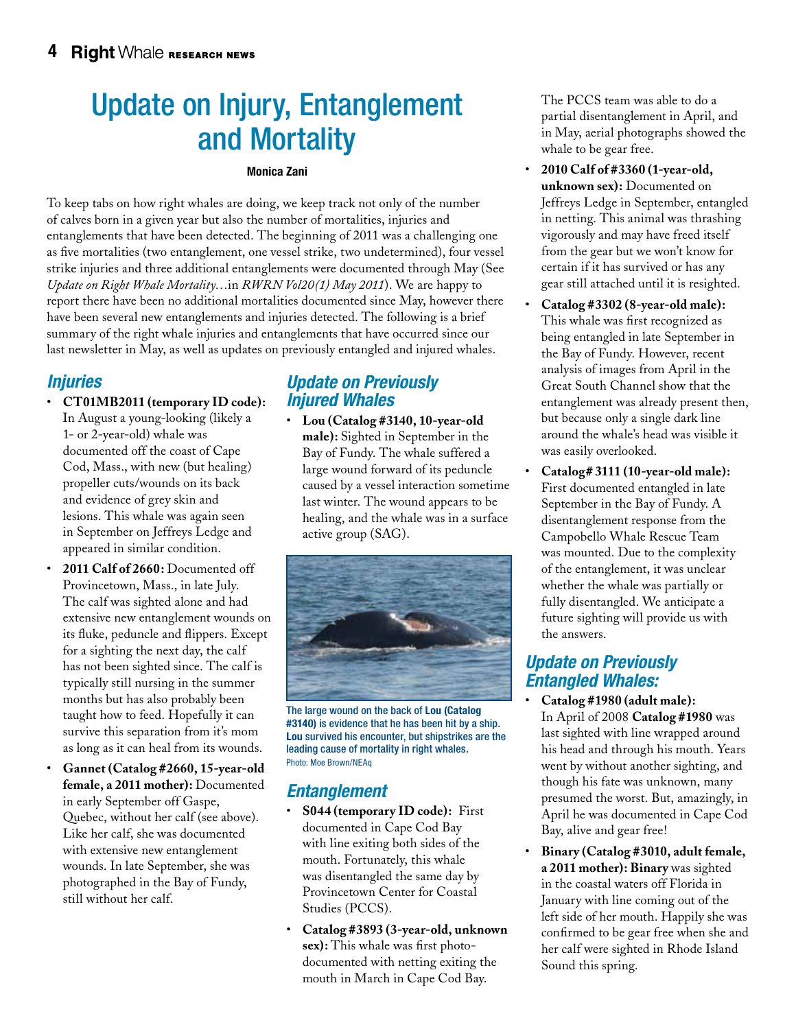# Update on Injury, Entanglement and Mortality

#### Monica Zani

To keep tabs on how right whales are doing, we keep track not only of the number of calves born in a given year but also the number of mortalities, injuries and entanglements that have been detected. The beginning of 2011 was a challenging one as five mortalities (two entanglement, one vessel strike, two undetermined), four vessel strike injuries and three additional entanglements were documented through May (See *Update on Right Whale Mortality…*in *RWRN Vol20(1) May 2011*). We are happy to report there have been no additional mortalities documented since May, however there have been several new entanglements and injuries detected. The following is a brief summary of the right whale injuries and entanglements that have occurred since our last newsletter in May, as well as updates on previously entangled and injured whales.

### *Injuries*

- • **CT01MB2011 (temporary ID code):** In August a young-looking (likely a 1- or 2-year-old) whale was documented off the coast of Cape Cod, Mass., with new (but healing) propeller cuts/wounds on its back and evidence of grey skin and lesions. This whale was again seen in September on Jeffreys Ledge and appeared in similar condition.
- • **2011 Calf of 2660:** Documented off Provincetown, Mass., in late July. The calf was sighted alone and had extensive new entanglement wounds on its fluke, peduncle and flippers. Except for a sighting the next day, the calf has not been sighted since. The calf is typically still nursing in the summer months but has also probably been taught how to feed. Hopefully it can survive this separation from it's mom as long as it can heal from its wounds.
- Gannet (Catalog #2660, 15-year-old **female, a 2011 mother):** Documented in early September off Gaspe, Quebec, without her calf (see above). Like her calf, she was documented with extensive new entanglement wounds. In late September, she was photographed in the Bay of Fundy, still without her calf.

# *Update on Previously Injured Whales*

• **Lou (Catalog #3140, 10-year-old male):** Sighted in September in the Bay of Fundy. The whale suffered a large wound forward of its peduncle caused by a vessel interaction sometime last winter. The wound appears to be healing, and the whale was in a surface active group (SAG).



The large wound on the back of Lou (Catalog #3140) is evidence that he has been hit by a ship. Lou survived his encounter, but shipstrikes are the leading cause of mortality in right whales. Photo: Moe Brown/NEAq

# *Entanglement*

- • **S044 (temporary ID code):** First documented in Cape Cod Bay with line exiting both sides of the mouth. Fortunately, this whale was disentangled the same day by Provincetown Center for Coastal Studies (PCCS).
- • **Catalog #3893 (3-year-old, unknown sex):** This whale was first photodocumented with netting exiting the mouth in March in Cape Cod Bay.

The PCCS team was able to do a partial disentanglement in April, and in May, aerial photographs showed the whale to be gear free.

- • **2010 Calf of #3360 (1-year-old, unknown sex):** Documented on Jeffreys Ledge in September, entangled in netting. This animal was thrashing vigorously and may have freed itself from the gear but we won't know for certain if it has survived or has any gear still attached until it is resighted.
- Catalog #3302 (8-year-old male): This whale was first recognized as being entangled in late September in the Bay of Fundy. However, recent analysis of images from April in the Great South Channel show that the entanglement was already present then, but because only a single dark line around the whale's head was visible it was easily overlooked.
- • **Catalog# 3111 (10-year-old male):**  First documented entangled in late September in the Bay of Fundy. A disentanglement response from the Campobello Whale Rescue Team was mounted. Due to the complexity of the entanglement, it was unclear whether the whale was partially or fully disentangled. We anticipate a future sighting will provide us with the answers.

### *Update on Previously Entangled Whales:*

- Catalog #1980 (adult male): In April of 2008 **Catalog #1980** was last sighted with line wrapped around his head and through his mouth. Years went by without another sighting, and though his fate was unknown, many presumed the worst. But, amazingly, in April he was documented in Cape Cod Bay, alive and gear free!
- Binary (Catalog #3010, adult female, **a 2011 mother): Binary** was sighted in the coastal waters off Florida in January with line coming out of the left side of her mouth. Happily she was confirmed to be gear free when she and her calf were sighted in Rhode Island Sound this spring.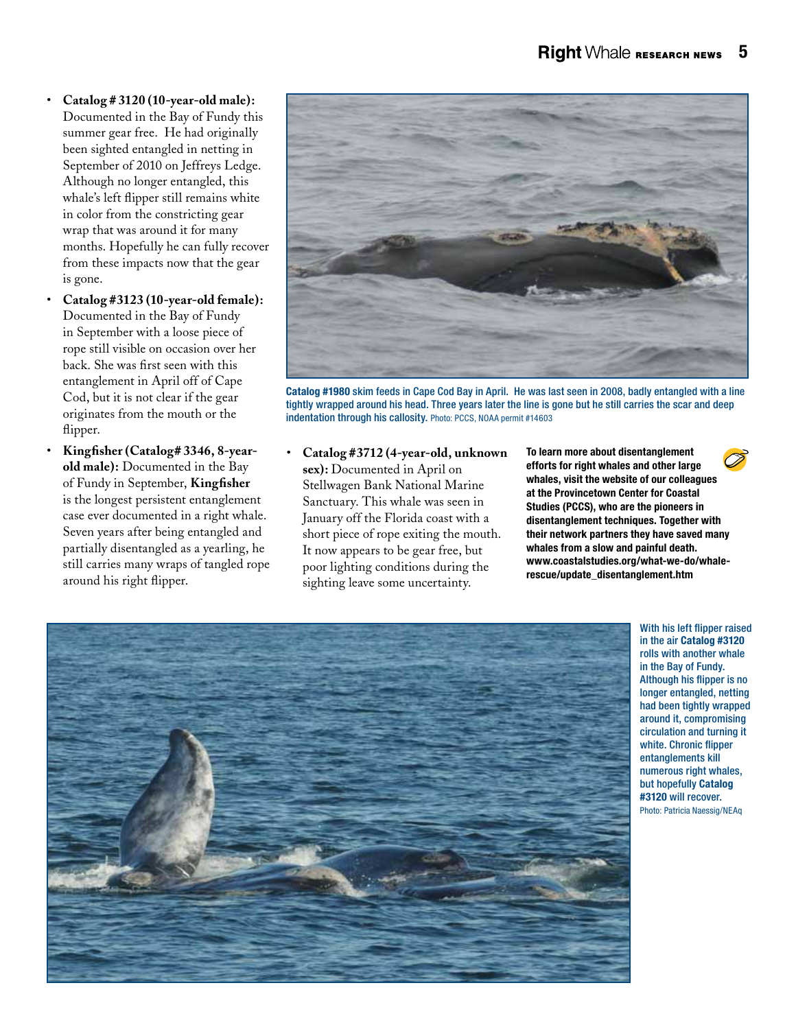- • **Catalog # 3120 (10-year-old male):** Documented in the Bay of Fundy this summer gear free. He had originally been sighted entangled in netting in September of 2010 on Jeffreys Ledge. Although no longer entangled, this whale's left flipper still remains white in color from the constricting gear wrap that was around it for many months. Hopefully he can fully recover from these impacts now that the gear is gone.
- Catalog #3123 (10-year-old female): Documented in the Bay of Fundy in September with a loose piece of rope still visible on occasion over her back. She was first seen with this entanglement in April off of Cape Cod, but it is not clear if the gear originates from the mouth or the flipper.
- Kingfisher (Catalog# 3346, 8-year**old male):** Documented in the Bay of Fundy in September, **Kingfisher** is the longest persistent entanglement case ever documented in a right whale. Seven years after being entangled and partially disentangled as a yearling, he still carries many wraps of tangled rope around his right flipper.



Catalog #1980 skim feeds in Cape Cod Bay in April. He was last seen in 2008, badly entangled with a line tightly wrapped around his head. Three years later the line is gone but he still carries the scar and deep indentation through his callosity. Photo: PCCS, NOAA permit #14603

• **Catalog #3712 (4-year-old, unknown sex):** Documented in April on Stellwagen Bank National Marine Sanctuary. This whale was seen in January off the Florida coast with a short piece of rope exiting the mouth. It now appears to be gear free, but poor lighting conditions during the sighting leave some uncertainty.

To learn more about disentanglement efforts for right whales and other large whales, visit the website of our colleagues at the Provincetown Center for Coastal Studies (PCCS), who are the pioneers in disentanglement techniques. Together with their network partners they have saved many whales from a slow and painful death. www.coastalstudies.org/what-we-do/whalerescue/update\_disentanglement.htm



With his left flipper raised in the air Catalog #3120 rolls with another whale in the Bay of Fundy. Although his flipper is no longer entangled, netting had been tightly wrapped around it, compromising circulation and turning it white. Chronic flipper entanglements kill numerous right whales, but hopefully Catalog #3120 will recover. Photo: Patricia Naessig/NEAq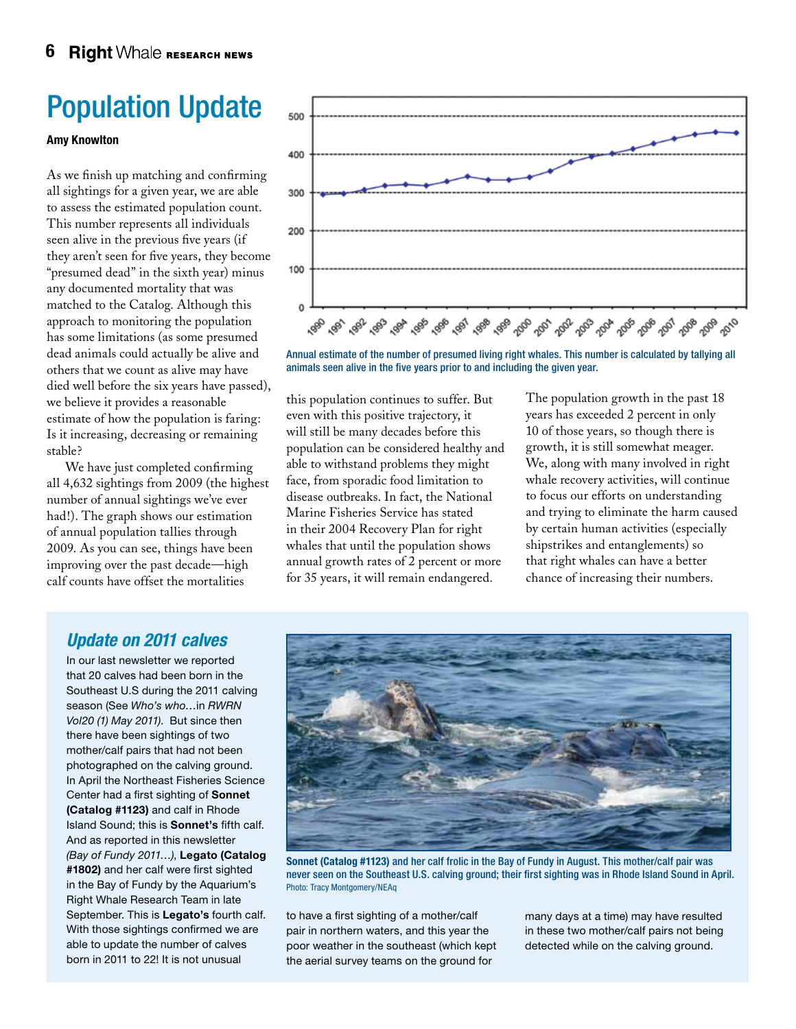# Population Update

#### Amy Knowlton

As we finish up matching and confirming all sightings for a given year, we are able to assess the estimated population count. This number represents all individuals seen alive in the previous five years (if they aren't seen for five years, they become "presumed dead" in the sixth year) minus any documented mortality that was matched to the Catalog. Although this approach to monitoring the population has some limitations (as some presumed dead animals could actually be alive and others that we count as alive may have died well before the six years have passed), we believe it provides a reasonable estimate of how the population is faring: Is it increasing, decreasing or remaining stable?

We have just completed confirming all 4,632 sightings from 2009 (the highest number of annual sightings we've ever had!). The graph shows our estimation of annual population tallies through 2009. As you can see, things have been improving over the past decade—high calf counts have offset the mortalities



Annual estimate of the number of presumed living right whales. This number is calculated by tallying all animals seen alive in the five years prior to and including the given year.

this population continues to suffer. But even with this positive trajectory, it will still be many decades before this population can be considered healthy and able to withstand problems they might face, from sporadic food limitation to disease outbreaks. In fact, the National Marine Fisheries Service has stated in their 2004 Recovery Plan for right whales that until the population shows annual growth rates of 2 percent or more for 35 years, it will remain endangered.

The population growth in the past 18 years has exceeded 2 percent in only 10 of those years, so though there is growth, it is still somewhat meager. We, along with many involved in right whale recovery activities, will continue to focus our efforts on understanding and trying to eliminate the harm caused by certain human activities (especially shipstrikes and entanglements) so that right whales can have a better chance of increasing their numbers.

### *Update on 2011 calves*

In our last newsletter we reported that 20 calves had been born in the Southeast U.S during the 2011 calving season (See *Who's who…*in *RWRN Vol20 (1) May 2011)*. But since then there have been sightings of two mother/calf pairs that had not been photographed on the calving ground. In April the Northeast Fisheries Science Center had a first sighting of Sonnet (Catalog #1123) and calf in Rhode Island Sound; this is Sonnet's fifth calf. And as reported in this newsletter *(Bay of Fundy 2011…)*, Legato (Catalog #1802) and her calf were first sighted in the Bay of Fundy by the Aquarium's Right Whale Research Team in late September. This is Legato's fourth calf. With those sightings confirmed we are able to update the number of calves born in 2011 to 22! It is not unusual



Sonnet (Catalog #1123) and her calf frolic in the Bay of Fundy in August. This mother/calf pair was never seen on the Southeast U.S. calving ground; their first sighting was in Rhode Island Sound in April. Photo: Tracy Montgomery/NEAq

to have a first sighting of a mother/calf pair in northern waters, and this year the poor weather in the southeast (which kept the aerial survey teams on the ground for

many days at a time) may have resulted in these two mother/calf pairs not being detected while on the calving ground.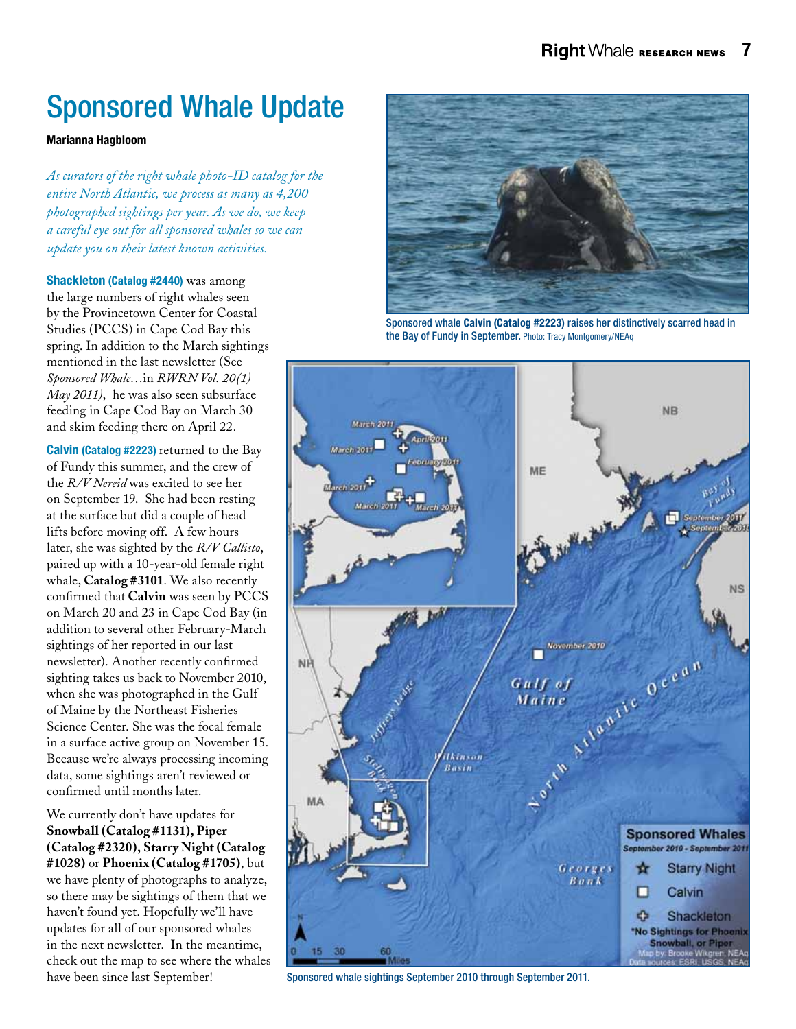# Sponsored Whale Update

#### Marianna Hagbloom

*As curators of the right whale photo-ID catalog for the entire North Atlantic, we process as many as 4,200 photographed sightings per year. As we do, we keep a careful eye out for all sponsored whales so we can update you on their latest known activities.*

Shackleton (Catalog #2440) was among the large numbers of right whales seen by the Provincetown Center for Coastal Studies (PCCS) in Cape Cod Bay this spring. In addition to the March sightings mentioned in the last newsletter (See *Sponsored Whale…*in *RWRN Vol. 20(1) May 2011)*, he was also seen subsurface feeding in Cape Cod Bay on March 30 and skim feeding there on April 22.

Calvin (Catalog #2223) returned to the Bay of Fundy this summer, and the crew of the *R/V Nereid* was excited to see her on September 19. She had been resting at the surface but did a couple of head lifts before moving off. A few hours later, she was sighted by the *R/V Callisto*, paired up with a 10-year-old female right whale, **Catalog #3101**. We also recently confirmed that **Calvin** was seen by PCCS on March 20 and 23 in Cape Cod Bay (in addition to several other February-March sightings of her reported in our last newsletter). Another recently confirmed sighting takes us back to November 2010, when she was photographed in the Gulf of Maine by the Northeast Fisheries Science Center. She was the focal female in a surface active group on November 15. Because we're always processing incoming data, some sightings aren't reviewed or confirmed until months later.

We currently don't have updates for **Snowball (Catalog #1131), Piper (Catalog #2320), Starry Night (Catalog #1028)** or **Phoenix (Catalog #1705)**, but we have plenty of photographs to analyze, so there may be sightings of them that we haven't found yet. Hopefully we'll have updates for all of our sponsored whales in the next newsletter. In the meantime, check out the map to see where the whales have been since last September!



Sponsored whale Calvin (Catalog #2223) raises her distinctively scarred head in the Bay of Fundy in September. Photo: Tracy Montgomery/NEAq



Sponsored whale sightings September 2010 through September 2011.